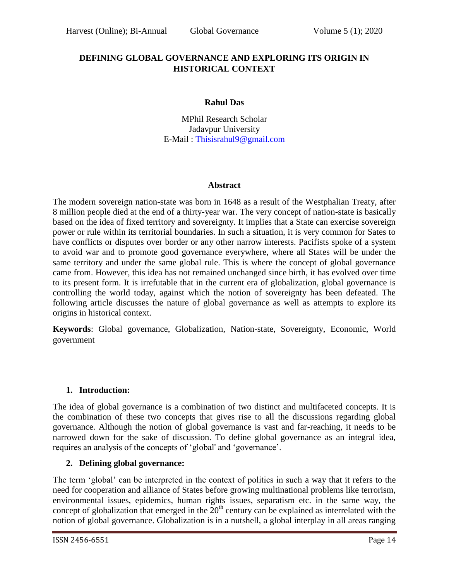# **DEFINING GLOBAL GOVERNANCE AND EXPLORING ITS ORIGIN IN HISTORICAL CONTEXT**

### **Rahul Das**

MPhil Research Scholar Jadavpur University E-Mail : [Thisisrahul9@gmail.com](mailto:Thisisrahul9@gmail.com)

### **Abstract**

The modern sovereign nation-state was born in 1648 as a result of the Westphalian Treaty, after 8 million people died at the end of a thirty-year war. The very concept of nation-state is basically based on the idea of fixed territory and sovereignty. It implies that a State can exercise sovereign power or rule within its territorial boundaries. In such a situation, it is very common for Sates to have conflicts or disputes over border or any other narrow interests. Pacifists spoke of a system to avoid war and to promote good governance everywhere, where all States will be under the same territory and under the same global rule. This is where the concept of global governance came from. However, this idea has not remained unchanged since birth, it has evolved over time to its present form. It is irrefutable that in the current era of globalization, global governance is controlling the world today, against which the notion of sovereignty has been defeated. The following article discusses the nature of global governance as well as attempts to explore its origins in historical context.

**Keywords**: Global governance, Globalization, Nation-state, Sovereignty, Economic, World government

### **1. Introduction:**

The idea of global governance is a combination of two distinct and multifaceted concepts. It is the combination of these two concepts that gives rise to all the discussions regarding global governance. Although the notion of global governance is vast and far-reaching, it needs to be narrowed down for the sake of discussion. To define global governance as an integral idea, requires an analysis of the concepts of "global' and "governance".

# **2. Defining global governance:**

The term "global" can be interpreted in the context of politics in such a way that it refers to the need for cooperation and alliance of States before growing multinational problems like terrorism, environmental issues, epidemics, human rights issues, separatism etc. in the same way, the concept of globalization that emerged in the  $20<sup>th</sup>$  century can be explained as interrelated with the notion of global governance. Globalization is in a nutshell, a global interplay in all areas ranging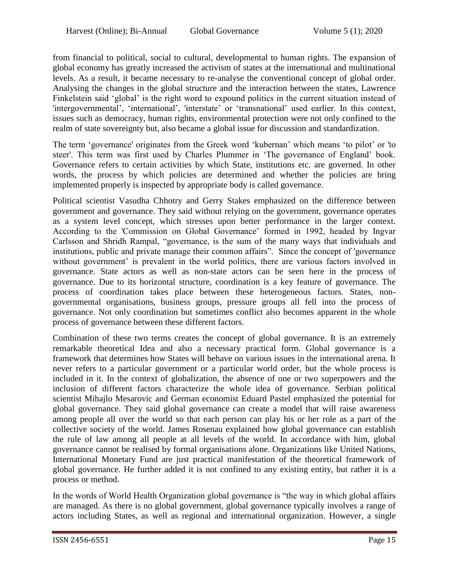from financial to political, social to cultural, developmental to human rights. The expansion of global economy has greatly increased the activism of states at the international and multinational levels. As a result, it became necessary to re-analyse the conventional concept of global order. Analysing the changes in the global structure and the interaction between the states, Lawrence Finkelstein said "global" is the right word to expound politics in the current situation instead of 'intergovernmental', 'international', 'interstate' or 'transnational' used earlier. In this context, issues such as democracy, human rights, environmental protection were not only confined to the realm of state sovereignty but, also became a global issue for discussion and standardization.

The term "governance' originates from the Greek word "kubernan" which means "to pilot" or 'to steer'. This term was first used by Charles Plummer in "The governance of England" book. Governance refers to certain activities by which State, institutions etc. are governed. In other words, the process by which policies are determined and whether the policies are bring implemented properly is inspected by appropriate body is called governance.

Political scientist Vasudha Chhotry and Gerry Stakes emphasized on the difference between government and governance. They said without relying on the government, governance operates as a system level concept, which stresses upon better performance in the larger context. According to the 'Commission on Global Governance' formed in 1992, headed by Ingvar Carlsson and Shridh Rampal, "governance, is the sum of the many ways that individuals and institutions, public and private manage their common affairs". Since the concept of 'governance without government' is prevalent in the world politics, there are various factors involved in governance. State actors as well as non-state actors can be seen here in the process of governance. Due to its horizontal structure, coordination is a key feature of governance. The process of coordination takes place between these heterogeneous factors. States, nongovernmental organisations, business groups, pressure groups all fell into the process of governance. Not only coordination but sometimes conflict also becomes apparent in the whole process of governance between these different factors.

Combination of these two terms creates the concept of global governance. It is an extremely remarkable theoretical Idea and also a necessary practical form. Global governance is a framework that determines how States will behave on various issues in the international arena. It never refers to a particular government or a particular world order, but the whole process is included in it. In the context of globalization, the absence of one or two superpowers and the inclusion of different factors characterize the whole idea of governance. Serbian political scientist Mihajlo Mesarovic and German economist Eduard Pastel emphasized the potential for global governance. They said global governance can create a model that will raise awareness among people all over the world so that each person can play his or her role as a part of the collective society of the world. James Rosenau explained how global governance can establish the rule of law among all people at all levels of the world. In accordance with him, global governance cannot be realised by formal organisations alone. Organizations like United Nations, International Monetary Fund are just practical manifestation of the theoretical framework of global governance. He further added it is not confined to any existing entity, but rather it is a process or method.

In the words of World Health Organization global governance is "the way in which global affairs are managed. As there is no global government, global governance typically involves a range of actors including States, as well as regional and international organization. However, a single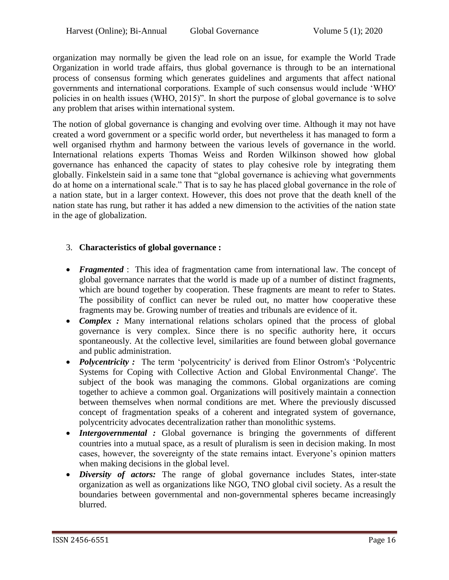organization may normally be given the lead role on an issue, for example the World Trade Organization in world trade affairs, thus global governance is through to be an international process of consensus forming which generates guidelines and arguments that affect national governments and international corporations. Example of such consensus would include "WHO' policies in on health issues (WHO, 2015)". In short the purpose of global governance is to solve any problem that arises within international system.

The notion of global governance is changing and evolving over time. Although it may not have created a word government or a specific world order, but nevertheless it has managed to form a well organised rhythm and harmony between the various levels of governance in the world. International relations experts Thomas Weiss and Rorden Wilkinson showed how global governance has enhanced the capacity of states to play cohesive role by integrating them globally. Finkelstein said in a same tone that "global governance is achieving what governments do at home on a international scale." That is to say he has placed global governance in the role of a nation state, but in a larger context. However, this does not prove that the death knell of the nation state has rung, but rather it has added a new dimension to the activities of the nation state in the age of globalization.

# 3. **Characteristics of global governance :**

- *Fragmented* : This idea of fragmentation came from international law. The concept of global governance narrates that the world is made up of a number of distinct fragments, which are bound together by cooperation. These fragments are meant to refer to States. The possibility of conflict can never be ruled out, no matter how cooperative these fragments may be. Growing number of treaties and tribunals are evidence of it.
- *Complex* : Many international relations scholars opined that the process of global governance is very complex. Since there is no specific authority here, it occurs spontaneously. At the collective level, similarities are found between global governance and public administration.
- **Polycentricity :** The term 'polycentricity' is derived from Elinor Ostrom's 'Polycentric Systems for Coping with Collective Action and Global Environmental Change'. The subject of the book was managing the commons. Global organizations are coming together to achieve a common goal. Organizations will positively maintain a connection between themselves when normal conditions are met. Where the previously discussed concept of fragmentation speaks of a coherent and integrated system of governance, polycentricity advocates decentralization rather than monolithic systems.
- *Intergovernmental* : Global governance is bringing the governments of different countries into a mutual space, as a result of pluralism is seen in decision making. In most cases, however, the sovereignty of the state remains intact. Everyone"s opinion matters when making decisions in the global level.
- *Diversity of actors:* The range of global governance includes States, inter-state organization as well as organizations like NGO, TNO global civil society. As a result the boundaries between governmental and non-governmental spheres became increasingly blurred.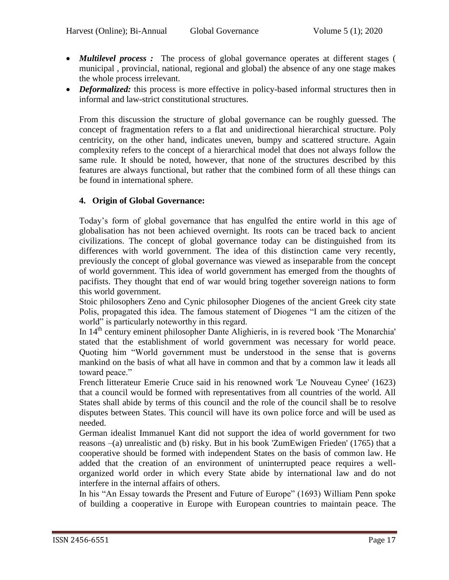- *Multilevel process :* The process of global governance operates at different stages ( municipal , provincial, national, regional and global) the absence of any one stage makes the whole process irrelevant.
- *Deformalized:* this process is more effective in policy-based informal structures then in informal and law-strict constitutional structures.

From this discussion the structure of global governance can be roughly guessed. The concept of fragmentation refers to a flat and unidirectional hierarchical structure. Poly centricity, on the other hand, indicates uneven, bumpy and scattered structure. Again complexity refers to the concept of a hierarchical model that does not always follow the same rule. It should be noted, however, that none of the structures described by this features are always functional, but rather that the combined form of all these things can be found in international sphere.

### **4. Origin of Global Governance:**

Today"s form of global governance that has engulfed the entire world in this age of globalisation has not been achieved overnight. Its roots can be traced back to ancient civilizations. The concept of global governance today can be distinguished from its differences with world government. The idea of this distinction came very recently, previously the concept of global governance was viewed as inseparable from the concept of world government. This idea of world government has emerged from the thoughts of pacifists. They thought that end of war would bring together sovereign nations to form this world government.

Stoic philosophers Zeno and Cynic philosopher Diogenes of the ancient Greek city state Polis, propagated this idea. The famous statement of Diogenes "I am the citizen of the world" is particularly noteworthy in this regard.

In 14th century eminent philosopher Dante Alighieris, in is revered book "The Monarchia' stated that the establishment of world government was necessary for world peace. Quoting him "World government must be understood in the sense that is governs mankind on the basis of what all have in common and that by a common law it leads all toward peace."

French litterateur Emerie Cruce said in his renowned work 'Le Nouveau Cynee' (1623) that a council would be formed with representatives from all countries of the world. All States shall abide by terms of this council and the role of the council shall be to resolve disputes between States. This council will have its own police force and will be used as needed.

German idealist Immanuel Kant did not support the idea of world government for two reasons –(a) unrealistic and (b) risky. But in his book 'ZumEwigen Frieden' (1765) that a cooperative should be formed with independent States on the basis of common law. He added that the creation of an environment of uninterrupted peace requires a wellorganized world order in which every State abide by international law and do not interfere in the internal affairs of others.

In his "An Essay towards the Present and Future of Europe" (1693) William Penn spoke of building a cooperative in Europe with European countries to maintain peace. The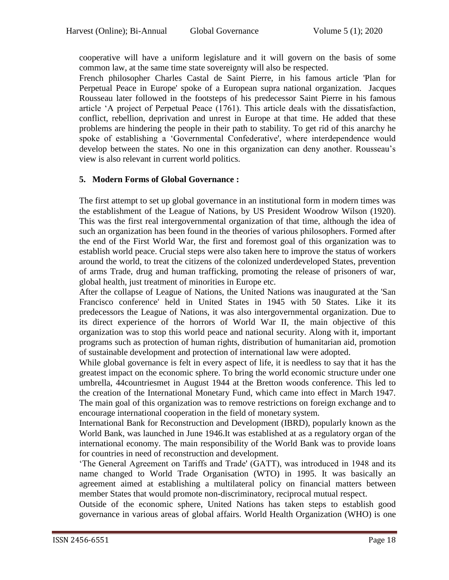cooperative will have a uniform legislature and it will govern on the basis of some common law, at the same time state sovereignty will also be respected.

French philosopher Charles Castal de Saint Pierre, in his famous article 'Plan for Perpetual Peace in Europe' spoke of a European supra national organization. Jacques Rousseau later followed in the footsteps of his predecessor Saint Pierre in his famous article "A project of Perpetual Peace (1761). This article deals with the dissatisfaction, conflict, rebellion, deprivation and unrest in Europe at that time. He added that these problems are hindering the people in their path to stability. To get rid of this anarchy he spoke of establishing a "Governmental Confederative', where interdependence would develop between the states. No one in this organization can deny another. Rousseau"s view is also relevant in current world politics.

### **5. Modern Forms of Global Governance :**

The first attempt to set up global governance in an institutional form in modern times was the establishment of the League of Nations, by US President Woodrow Wilson (1920). This was the first real intergovernmental organization of that time, although the idea of such an organization has been found in the theories of various philosophers. Formed after the end of the First World War, the first and foremost goal of this organization was to establish world peace. Crucial steps were also taken here to improve the status of workers around the world, to treat the citizens of the colonized underdeveloped States, prevention of arms Trade, drug and human trafficking, promoting the release of prisoners of war, global health, just treatment of minorities in Europe etc.

After the collapse of League of Nations, the United Nations was inaugurated at the 'San Francisco conference' held in United States in 1945 with 50 States. Like it its predecessors the League of Nations, it was also intergovernmental organization. Due to its direct experience of the horrors of World War II, the main objective of this organization was to stop this world peace and national security. Along with it, important programs such as protection of human rights, distribution of humanitarian aid, promotion of sustainable development and protection of international law were adopted.

While global governance is felt in every aspect of life, it is needless to say that it has the greatest impact on the economic sphere. To bring the world economic structure under one umbrella, 44countriesmet in August 1944 at the Bretton woods conference. This led to the creation of the International Monetary Fund, which came into effect in March 1947. The main goal of this organization was to remove restrictions on foreign exchange and to encourage international cooperation in the field of monetary system.

International Bank for Reconstruction and Development (IBRD), popularly known as the World Bank, was launched in June 1946.It was established at as a regulatory organ of the international economy. The main responsibility of the World Bank was to provide loans for countries in need of reconstruction and development.

"The General Agreement on Tariffs and Trade' (GATT), was introduced in 1948 and its name changed to World Trade Organisation (WTO) in 1995. It was basically an agreement aimed at establishing a multilateral policy on financial matters between member States that would promote non-discriminatory, reciprocal mutual respect.

Outside of the economic sphere, United Nations has taken steps to establish good governance in various areas of global affairs. World Health Organization (WHO) is one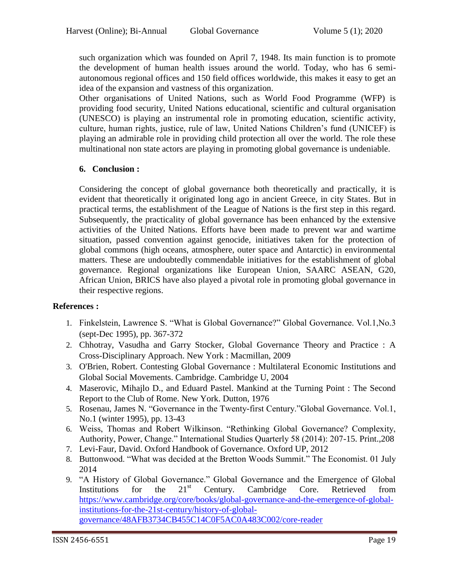such organization which was founded on April 7, 1948. Its main function is to promote the development of human health issues around the world. Today, who has 6 semiautonomous regional offices and 150 field offices worldwide, this makes it easy to get an idea of the expansion and vastness of this organization.

Other organisations of United Nations, such as World Food Programme (WFP) is providing food security, United Nations educational, scientific and cultural organisation (UNESCO) is playing an instrumental role in promoting education, scientific activity, culture, human rights, justice, rule of law, United Nations Children"s fund (UNICEF) is playing an admirable role in providing child protection all over the world. The role these multinational non state actors are playing in promoting global governance is undeniable.

### **6. Conclusion :**

Considering the concept of global governance both theoretically and practically, it is evident that theoretically it originated long ago in ancient Greece, in city States. But in practical terms, the establishment of the League of Nations is the first step in this regard. Subsequently, the practicality of global governance has been enhanced by the extensive activities of the United Nations. Efforts have been made to prevent war and wartime situation, passed convention against genocide, initiatives taken for the protection of global commons (high oceans, atmosphere, outer space and Antarctic) in environmental matters. These are undoubtedly commendable initiatives for the establishment of global governance. Regional organizations like European Union, SAARC ASEAN, G20, African Union, BRICS have also played a pivotal role in promoting global governance in their respective regions.

### **References :**

- 1. Finkelstein, Lawrence S. "What is Global Governance?" Global Governance. Vol.1,No.3 (sept-Dec 1995), pp. 367-372
- 2. Chhotray, Vasudha and Garry Stocker, Global Governance Theory and Practice : A Cross-Disciplinary Approach. New York : Macmillan, 2009
- 3. O'Brien, Robert. Contesting Global Governance : Multilateral Economic Institutions and Global Social Movements. Cambridge. Cambridge U, 2004
- 4. Maserovic, Mihajlo D., and Eduard Pastel. Mankind at the Turning Point : The Second Report to the Club of Rome. New York. Dutton, 1976
- 5. Rosenau, James N. "Governance in the Twenty-first Century."Global Governance. Vol.1, No.1 (winter 1995), pp. 13-43
- 6. Weiss, Thomas and Robert Wilkinson. "Rethinking Global Governance? Complexity, Authority, Power, Change." International Studies Quarterly 58 (2014): 207-15. Print.,208
- 7. Levi-Faur, David. Oxford Handbook of Governance. Oxford UP, 2012
- 8. Buttonwood. "What was decided at the Bretton Woods Summit." The Economist. 01 July 2014
- 9. "A History of Global Governance." Global Governance and the Emergence of Global<br>Institutions for the 21<sup>st</sup> Century Cambridge Core Retrieved from Institutions for the  $21<sup>st</sup>$  Century. Cambridge Core. Retrieved from [https://www.cambridge.org/core/books/global-governance-and-the-emergence-of-global](https://www.cambridge.org/core/books/global-governance-and-the-emergence-of-global-institutions-for-the-21st-century/history-of-global-governance/48AFB3734CB455C14C0F5AC0A483C002/core-reader)[institutions-for-the-21st-century/history-of-global](https://www.cambridge.org/core/books/global-governance-and-the-emergence-of-global-institutions-for-the-21st-century/history-of-global-governance/48AFB3734CB455C14C0F5AC0A483C002/core-reader)[governance/48AFB3734CB455C14C0F5AC0A483C002/core-reader](https://www.cambridge.org/core/books/global-governance-and-the-emergence-of-global-institutions-for-the-21st-century/history-of-global-governance/48AFB3734CB455C14C0F5AC0A483C002/core-reader)